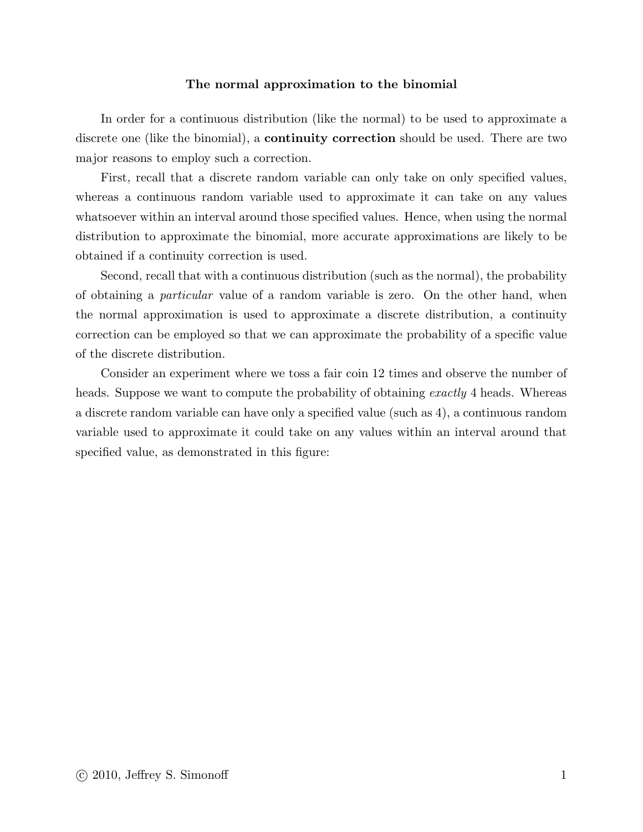## The normal approximation to the binomial

In order for a continuous distribution (like the normal) to be used to approximate a discrete one (like the binomial), a **continuity correction** should be used. There are two major reasons to employ such a correction.

First, recall that a discrete random variable can only take on only specified values, whereas a continuous random variable used to approximate it can take on any values whatsoever within an interval around those specified values. Hence, when using the normal distribution to approximate the binomial, more accurate approximations are likely to be obtained if a continuity correction is used.

Second, recall that with a continuous distribution (such as the normal), the probability of obtaining a particular value of a random variable is zero. On the other hand, when the normal approximation is used to approximate a discrete distribution, a continuity correction can be employed so that we can approximate the probability of a specific value of the discrete distribution.

Consider an experiment where we toss a fair coin 12 times and observe the number of heads. Suppose we want to compute the probability of obtaining *exactly* 4 heads. Whereas a discrete random variable can have only a specified value (such as 4), a continuous random variable used to approximate it could take on any values within an interval around that specified value, as demonstrated in this figure: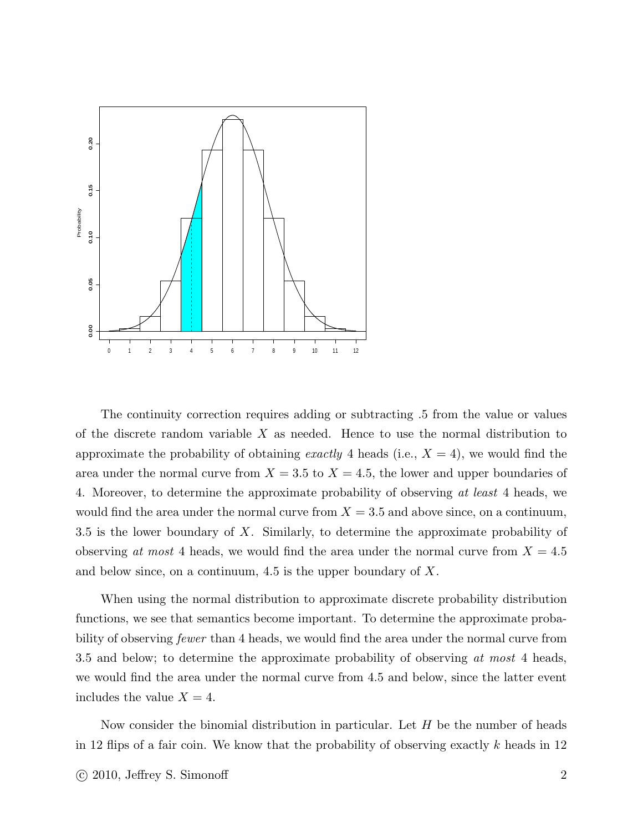

The continuity correction requires adding or subtracting .5 from the value or values of the discrete random variable  $X$  as needed. Hence to use the normal distribution to approximate the probability of obtaining exactly 4 heads (i.e.,  $X = 4$ ), we would find the area under the normal curve from  $X = 3.5$  to  $X = 4.5$ , the lower and upper boundaries of 4. Moreover, to determine the approximate probability of observing at least 4 heads, we would find the area under the normal curve from  $X = 3.5$  and above since, on a continuum, 3.5 is the lower boundary of X. Similarly, to determine the approximate probability of observing at most 4 heads, we would find the area under the normal curve from  $X = 4.5$ and below since, on a continuum, 4.5 is the upper boundary of X.

When using the normal distribution to approximate discrete probability distribution functions, we see that semantics become important. To determine the approximate probability of observing fewer than 4 heads, we would find the area under the normal curve from 3.5 and below; to determine the approximate probability of observing at most 4 heads, we would find the area under the normal curve from 4.5 and below, since the latter event includes the value  $X = 4$ .

Now consider the binomial distribution in particular. Let  $H$  be the number of heads in 12 flips of a fair coin. We know that the probability of observing exactly  $k$  heads in 12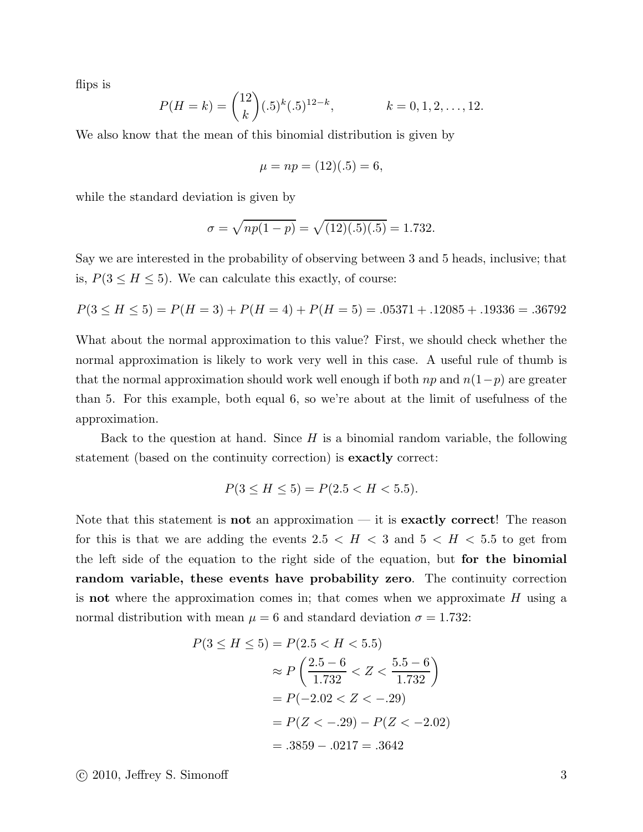flips is

$$
P(H = k) = {12 \choose k} (.5)^k (.5)^{12-k}, \qquad k = 0, 1, 2, ..., 12.
$$

We also know that the mean of this binomial distribution is given by

$$
\mu = np = (12)(.5) = 6,
$$

while the standard deviation is given by

$$
\sigma = \sqrt{np(1-p)} = \sqrt{(12)(.5)(.5)} = 1.732.
$$

Say we are interested in the probability of observing between 3 and 5 heads, inclusive; that is,  $P(3 \leq H \leq 5)$ . We can calculate this exactly, of course:

$$
P(3 \le H \le 5) = P(H = 3) + P(H = 4) + P(H = 5) = .05371 + .12085 + .19336 = .36792
$$

What about the normal approximation to this value? First, we should check whether the normal approximation is likely to work very well in this case. A useful rule of thumb is that the normal approximation should work well enough if both  $np$  and  $n(1-p)$  are greater than 5. For this example, both equal 6, so we're about at the limit of usefulness of the approximation.

Back to the question at hand. Since  $H$  is a binomial random variable, the following statement (based on the continuity correction) is exactly correct:

$$
P(3 \le H \le 5) = P(2.5 < H < 5.5).
$$

Note that this statement is **not** an approximation — it is **exactly correct!** The reason for this is that we are adding the events  $2.5 < H < 3$  and  $5 < H < 5.5$  to get from the left side of the equation to the right side of the equation, but for the binomial random variable, these events have probability zero. The continuity correction is **not** where the approximation comes in; that comes when we approximate  $H$  using a normal distribution with mean  $\mu = 6$  and standard deviation  $\sigma = 1.732$ :

$$
P(3 \le H \le 5) = P(2.5 < H < 5.5)
$$
\n
$$
\approx P\left(\frac{2.5 - 6}{1.732} < Z < \frac{5.5 - 6}{1.732}\right)
$$
\n
$$
= P(-2.02 < Z < -.29)
$$
\n
$$
= P(Z < -.29) - P(Z < -2.02)
$$
\n
$$
= .3859 - .0217 = .3642
$$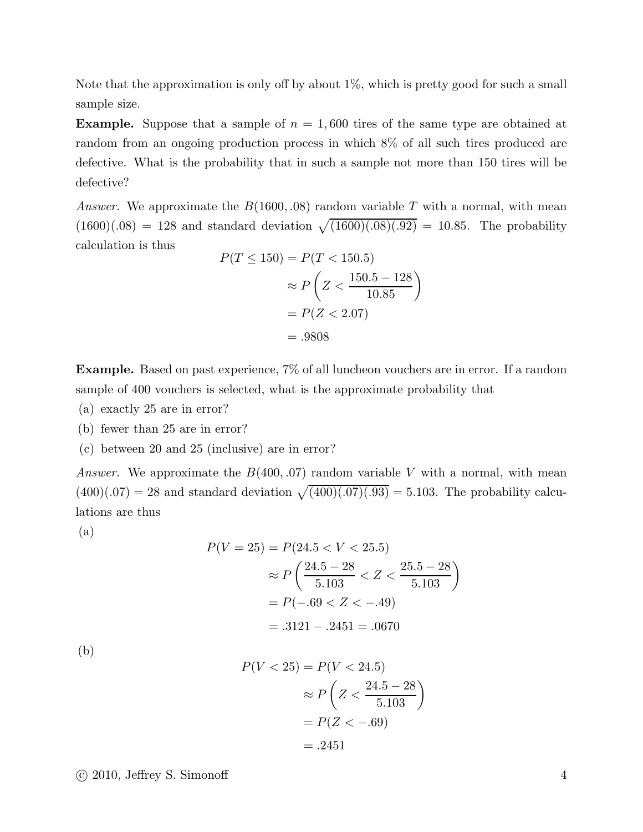Note that the approximation is only off by about 1%, which is pretty good for such a small sample size.

**Example.** Suppose that a sample of  $n = 1,600$  tires of the same type are obtained at random from an ongoing production process in which 8% of all such tires produced are defective. What is the probability that in such a sample not more than 150 tires will be defective?

Answer. We approximate the  $B(1600, .08)$  random variable T with a normal, with mean  $(1600)(.08) = 128$  and standard deviation  $\sqrt{(1600)(.08)(.92)} = 10.85$ . The probability calculation is thus

$$
P(T \le 150) = P(T < 150.5)
$$
\n
$$
\approx P\left(Z < \frac{150.5 - 128}{10.85}\right)
$$
\n
$$
= P(Z < 2.07)
$$
\n
$$
= .9808
$$

Example. Based on past experience, 7% of all luncheon vouchers are in error. If a random sample of 400 vouchers is selected, what is the approximate probability that

- (a) exactly 25 are in error?
- (b) fewer than 25 are in error?
- (c) between 20 and 25 (inclusive) are in error?

Answer. We approximate the  $B(400, 07)$  random variable V with a normal, with mean  $(400)(.07) = 28$  and standard deviation  $\sqrt{(400)(.07)(.93)} = 5.103$ . The probability calculations are thus

(a)

$$
P(V = 25) = P(24.5 < V < 25.5)
$$
\n
$$
\approx P\left(\frac{24.5 - 28}{5.103} < Z < \frac{25.5 - 28}{5.103}\right)
$$
\n
$$
= P(-.69 < Z < -.49)
$$
\n
$$
= .3121 - .2451 = .0670
$$

(b)

$$
P(V < 25) = P(V < 24.5)
$$
\n
$$
\approx P\left(Z < \frac{24.5 - 28}{5.103}\right)
$$
\n
$$
= P(Z < -.69)
$$
\n
$$
= .2451
$$

 $\odot$  2010, Jeffrey S. Simonoff  $\ddot{\phantom{a}}$  4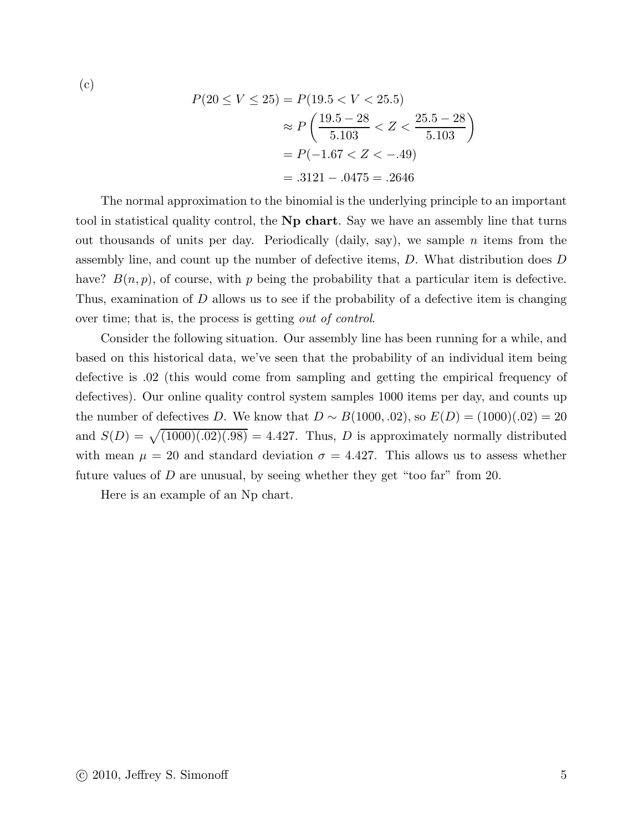(c)

$$
P(20 \le V \le 25) = P(19.5 < V < 25.5)
$$
  
\n
$$
\approx P\left(\frac{19.5 - 28}{5.103} < Z < \frac{25.5 - 28}{5.103}\right)
$$
  
\n
$$
= P(-1.67 < Z < -.49)
$$
  
\n
$$
= .3121 - .0475 = .2646
$$

The normal approximation to the binomial is the underlying principle to an important tool in statistical quality control, the Np chart. Say we have an assembly line that turns out thousands of units per day. Periodically (daily, say), we sample  $n$  items from the assembly line, and count up the number of defective items, D. What distribution does D have?  $B(n, p)$ , of course, with p being the probability that a particular item is defective. Thus, examination of D allows us to see if the probability of a defective item is changing over time; that is, the process is getting out of control.

Consider the following situation. Our assembly line has been running for a while, and based on this historical data, we've seen that the probability of an individual item being defective is .02 (this would come from sampling and getting the empirical frequency of defectives). Our online quality control system samples 1000 items per day, and counts up the number of defectives D. We know that  $D \sim B(1000, .02)$ , so  $E(D) = (1000)(.02) = 20$ and  $S(D) = \sqrt{(1000)(.02)(.98)} = 4.427$ . Thus, D is approximately normally distributed with mean  $\mu = 20$  and standard deviation  $\sigma = 4.427$ . This allows us to assess whether future values of D are unusual, by seeing whether they get "too far" from 20.

Here is an example of an Np chart.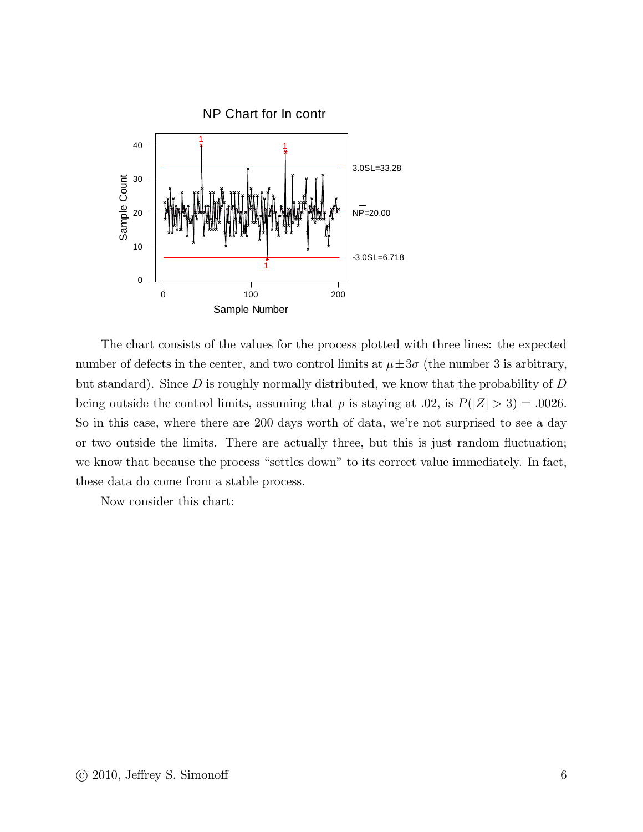

The chart consists of the values for the process plotted with three lines: the expected number of defects in the center, and two control limits at  $\mu \pm 3\sigma$  (the number 3 is arbitrary, but standard). Since D is roughly normally distributed, we know that the probability of D being outside the control limits, assuming that p is staying at .02, is  $P(|Z| > 3) = .0026$ . So in this case, where there are 200 days worth of data, we're not surprised to see a day or two outside the limits. There are actually three, but this is just random fluctuation; we know that because the process "settles down" to its correct value immediately. In fact, these data do come from a stable process.

Now consider this chart: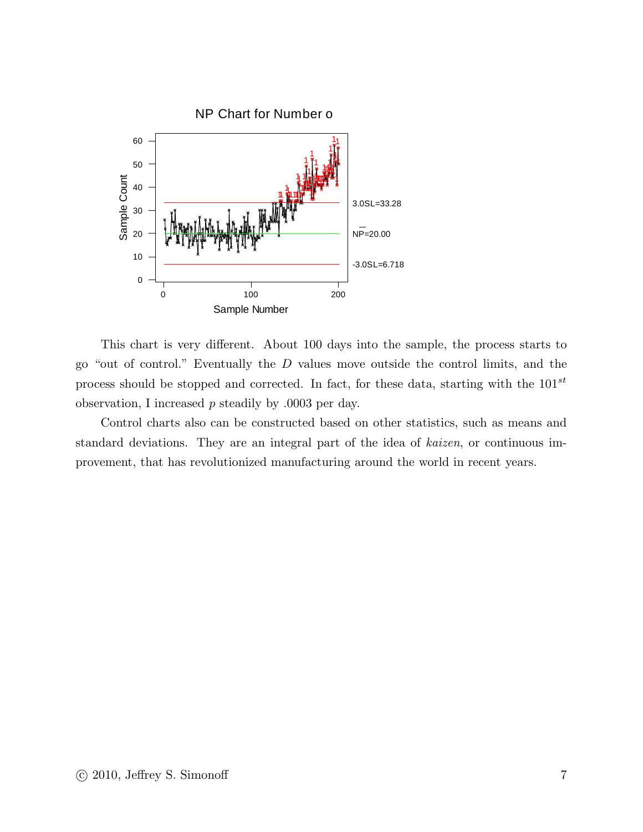

This chart is very different. About 100 days into the sample, the process starts to go "out of control." Eventually the D values move outside the control limits, and the process should be stopped and corrected. In fact, for these data, starting with the  $101^{st}$ observation, I increased p steadily by .0003 per day.

Control charts also can be constructed based on other statistics, such as means and standard deviations. They are an integral part of the idea of kaizen, or continuous improvement, that has revolutionized manufacturing around the world in recent years.